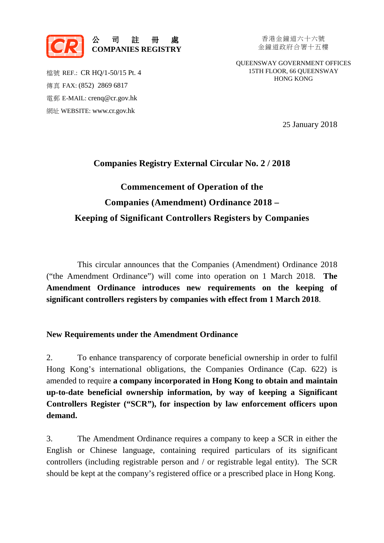

香港金鐘道六十六號 金鐘道政府合署十五樓

QUEENSWAY GOVERNMENT OFFICES 15TH FLOOR, 66 QUEENSWAY HONG KONG

檔號 REF.: CR HQ/1-50/15 Pt. 4 傳真 FAX: (852) 2869 6817 電郵 E-MAIL: crenq@cr.gov.hk 網址 WEBSITE: www.cr.gov.hk

25 January 2018

## **Companies Registry External Circular No. 2 / 2018**

# **Commencement of Operation of the Companies (Amendment) Ordinance 2018 – Keeping of Significant Controllers Registers by Companies**

This circular announces that the Companies (Amendment) Ordinance 2018 ("the Amendment Ordinance") will come into operation on 1 March 2018. **The Amendment Ordinance introduces new requirements on the keeping of significant controllers registers by companies with effect from 1 March 2018**.

### **New Requirements under the Amendment Ordinance**

2. To enhance transparency of corporate beneficial ownership in order to fulfil Hong Kong's international obligations, the Companies Ordinance (Cap. 622) is amended to require **a company incorporated in Hong Kong to obtain and maintain up-to-date beneficial ownership information, by way of keeping a Significant Controllers Register ("SCR"), for inspection by law enforcement officers upon demand.**

3. The Amendment Ordinance requires a company to keep a SCR in either the English or Chinese language, containing required particulars of its significant controllers (including registrable person and / or registrable legal entity). The SCR should be kept at the company's registered office or a prescribed place in Hong Kong.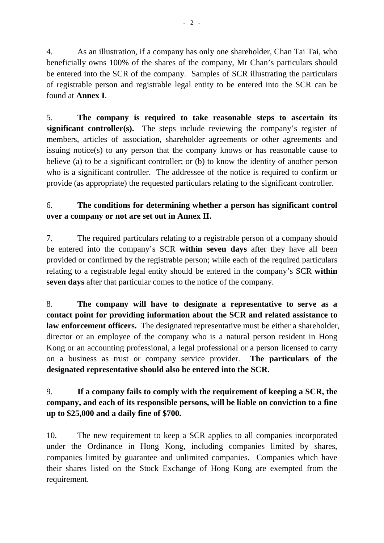4. As an illustration, if a company has only one shareholder, Chan Tai Tai, who beneficially owns 100% of the shares of the company, Mr Chan's particulars should be entered into the SCR of the company. Samples of SCR illustrating the particulars of registrable person and registrable legal entity to be entered into the SCR can be found at **Annex I**.

5. **The company is required to take reasonable steps to ascertain its significant controller(s).** The steps include reviewing the company's register of members, articles of association, shareholder agreements or other agreements and issuing notice(s) to any person that the company knows or has reasonable cause to believe (a) to be a significant controller; or (b) to know the identity of another person who is a significant controller. The addressee of the notice is required to confirm or provide (as appropriate) the requested particulars relating to the significant controller.

# 6. **The conditions for determining whether a person has significant control over a company or not are set out in Annex II.**

7. The required particulars relating to a registrable person of a company should be entered into the company's SCR **within seven days** after they have all been provided or confirmed by the registrable person; while each of the required particulars relating to a registrable legal entity should be entered in the company's SCR **within seven days** after that particular comes to the notice of the company.

8. **The company will have to designate a representative to serve as a contact point for providing information about the SCR and related assistance to law enforcement officers.** The designated representative must be either a shareholder, director or an employee of the company who is a natural person resident in Hong Kong or an accounting professional, a legal professional or a person licensed to carry on a business as trust or company service provider. **The particulars of the designated representative should also be entered into the SCR.**

# 9. **If a company fails to comply with the requirement of keeping a SCR, the company, and each of its responsible persons, will be liable on conviction to a fine up to \$25,000 and a daily fine of \$700.**

10. The new requirement to keep a SCR applies to all companies incorporated under the Ordinance in Hong Kong, including companies limited by shares, companies limited by guarantee and unlimited companies. Companies which have their shares listed on the Stock Exchange of Hong Kong are exempted from the requirement.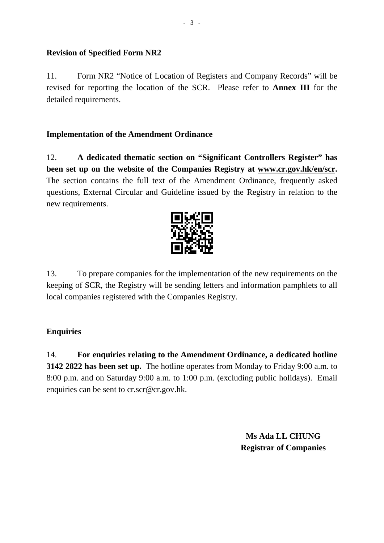# **Revision of Specified Form NR2**

11. Form NR2 "Notice of Location of Registers and Company Records" will be revised for reporting the location of the SCR. Please refer to **Annex III** for the detailed requirements.

# **Implementation of the Amendment Ordinance**

12. **A dedicated thematic section on "Significant Controllers Register" has been set up on the website of the Companies Registry at [www.cr.gov.hk/en/scr.](http://www.cr.gov.hk/en/scr)** The section contains the full text of the Amendment Ordinance, frequently asked questions, External Circular and Guideline issued by the Registry in relation to the new requirements.



13. To prepare companies for the implementation of the new requirements on the keeping of SCR, the Registry will be sending letters and information pamphlets to all local companies registered with the Companies Registry.

# **Enquiries**

14. **For enquiries relating to the Amendment Ordinance, a dedicated hotline 3142 2822 has been set up.** The hotline operates from Monday to Friday 9:00 a.m. to 8:00 p.m. and on Saturday 9:00 a.m. to 1:00 p.m. (excluding public holidays). Email enquiries can be sent to cr.scr@cr.gov.hk.

> **Ms Ada LL CHUNG Registrar of Companies**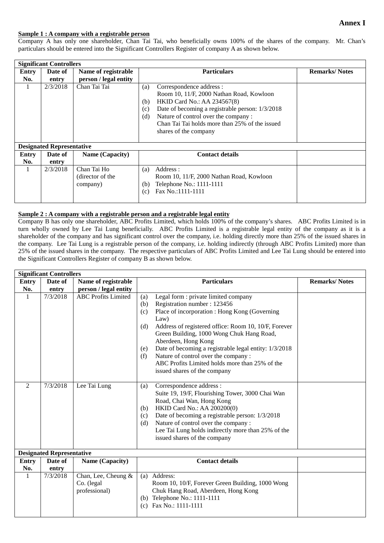#### **Annex I**

#### **Sample 1 : A company with a registrable person**

Company A has only one shareholder, Chan Tai Tai, who beneficially owns 100% of the shares of the company. Mr. Chan's particulars should be entered into the Significant Controllers Register of company A as shown below.

| <b>Significant Controllers</b>   |          |                                             |                                                                                                                                                                                                                                                                                                             |                      |  |  |  |  |
|----------------------------------|----------|---------------------------------------------|-------------------------------------------------------------------------------------------------------------------------------------------------------------------------------------------------------------------------------------------------------------------------------------------------------------|----------------------|--|--|--|--|
| Entry                            | Date of  | Name of registrable                         | <b>Particulars</b>                                                                                                                                                                                                                                                                                          | <b>Remarks/Notes</b> |  |  |  |  |
| No.                              | entry    | person / legal entity                       |                                                                                                                                                                                                                                                                                                             |                      |  |  |  |  |
|                                  | 2/3/2018 | Chan Tai Tai                                | Correspondence address :<br>(a)<br>Room 10, 11/F, 2000 Nathan Road, Kowloon<br><b>HKID Card No.: AA 234567(8)</b><br>(b)<br>Date of becoming a registrable person: 1/3/2018<br>(c)<br>Nature of control over the company:<br>(d)<br>Chan Tai Tai holds more than 25% of the issued<br>shares of the company |                      |  |  |  |  |
| <b>Designated Representative</b> |          |                                             |                                                                                                                                                                                                                                                                                                             |                      |  |  |  |  |
| Entry                            | Date of  | Name (Capacity)                             | <b>Contact details</b>                                                                                                                                                                                                                                                                                      |                      |  |  |  |  |
| No.                              | entry    |                                             |                                                                                                                                                                                                                                                                                                             |                      |  |  |  |  |
|                                  | 2/3/2018 | Chan Tai Ho<br>(director of the<br>company) | Address:<br>(a)<br>Room 10, 11/F, 2000 Nathan Road, Kowloon<br>Telephone No.: 1111-1111<br>(b)<br>Fax No.:1111-1111<br>(c)                                                                                                                                                                                  |                      |  |  |  |  |

#### **Sample 2 : A company with a registrable person and a registrable legal entity**

Company B has only one shareholder, ABC Profits Limited, which holds 100% of the company's shares. ABC Profits Limited is in turn wholly owned by Lee Tai Lung beneficially. ABC Profits Limited is a registrable legal entity of the company as it is a shareholder of the company and has significant control over the company, i.e. holding directly more than 25% of the issued shares in the company. Lee Tai Lung is a registrable person of the company, i.e. holding indirectly (through ABC Profits Limited) more than 25% of the issued shares in the company. The respective particulars of ABC Profits Limited and Lee Tai Lung should be entered into the Significant Controllers Register of company B as shown below.

| <b>Significant Controllers</b>   |          |                                                    |                                                                                                                                                                                                                                                                                                                                                                                                                                                                                      |                      |  |  |  |
|----------------------------------|----------|----------------------------------------------------|--------------------------------------------------------------------------------------------------------------------------------------------------------------------------------------------------------------------------------------------------------------------------------------------------------------------------------------------------------------------------------------------------------------------------------------------------------------------------------------|----------------------|--|--|--|
| <b>Entry</b>                     | Date of  | Name of registrable                                | <b>Particulars</b>                                                                                                                                                                                                                                                                                                                                                                                                                                                                   | <b>Remarks/Notes</b> |  |  |  |
| No.                              | entry    | person / legal entity                              |                                                                                                                                                                                                                                                                                                                                                                                                                                                                                      |                      |  |  |  |
| -1                               | 7/3/2018 | <b>ABC</b> Profits Limited                         | Legal form : private limited company<br>(a)<br>Registration number: 123456<br>(b)<br>Place of incorporation : Hong Kong (Governing<br>(c)<br>Law)<br>Address of registered office: Room 10, 10/F, Forever<br>(d)<br>Green Building, 1000 Wong Chuk Hang Road,<br>Aberdeen, Hong Kong<br>Date of becoming a registrable legal entity: 1/3/2018<br>(e)<br>Nature of control over the company:<br>(f)<br>ABC Profits Limited holds more than 25% of the<br>issued shares of the company |                      |  |  |  |
| $\mathfrak{D}$                   | 7/3/2018 | Lee Tai Lung                                       | Correspondence address :<br>(a)<br>Suite 19, 19/F, Flourishing Tower, 3000 Chai Wan<br>Road, Chai Wan, Hong Kong<br>HKID Card No.: AA 200200(0)<br>(b)<br>Date of becoming a registrable person: 1/3/2018<br>(c)<br>Nature of control over the company:<br>(d)<br>Lee Tai Lung holds indirectly more than 25% of the<br>issued shares of the company                                                                                                                                 |                      |  |  |  |
| <b>Designated Representative</b> |          |                                                    |                                                                                                                                                                                                                                                                                                                                                                                                                                                                                      |                      |  |  |  |
| Entry                            | Date of  | Name (Capacity)                                    | <b>Contact details</b>                                                                                                                                                                                                                                                                                                                                                                                                                                                               |                      |  |  |  |
| No.                              | entry    |                                                    |                                                                                                                                                                                                                                                                                                                                                                                                                                                                                      |                      |  |  |  |
| 1                                | 7/3/2018 | Chan, Lee, Cheung &<br>Co. (legal<br>professional) | (a) Address:<br>Room 10, 10/F, Forever Green Building, 1000 Wong<br>Chuk Hang Road, Aberdeen, Hong Kong<br>(b) Telephone No.: 1111-1111<br>Fax No.: 1111-1111<br>(c)                                                                                                                                                                                                                                                                                                                 |                      |  |  |  |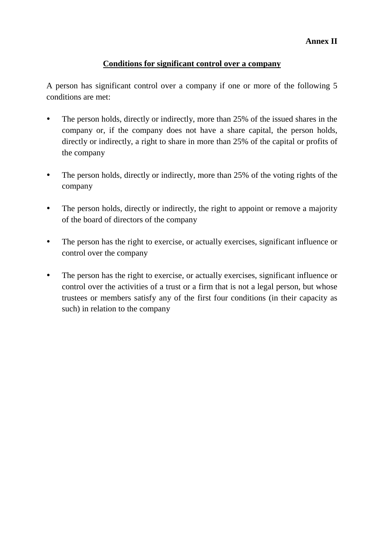#### **Annex II**

### **Conditions for significant control over a company**

A person has significant control over a company if one or more of the following 5 conditions are met:

- The person holds, directly or indirectly, more than 25% of the issued shares in the company or, if the company does not have a share capital, the person holds, directly or indirectly, a right to share in more than 25% of the capital or profits of the company
- The person holds, directly or indirectly, more than 25% of the voting rights of the company
- The person holds, directly or indirectly, the right to appoint or remove a majority of the board of directors of the company
- The person has the right to exercise, or actually exercises, significant influence or control over the company
- The person has the right to exercise, or actually exercises, significant influence or control over the activities of a trust or a firm that is not a legal person, but whose trustees or members satisfy any of the first four conditions (in their capacity as such) in relation to the company